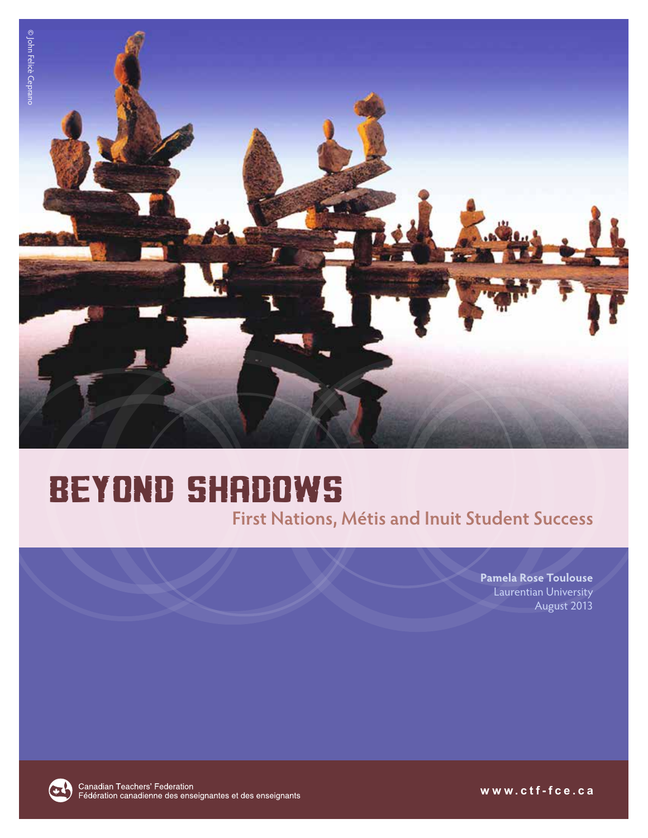

# Beyond Shadows

**First Nations, Métis and Inuit Student Success**

**Pamela Rose Toulouse** Laurentian University August 2013



Canadian Teachers' Federation<br>Fédération canadienne des enseignantes et des enseignants

**www.ctf-fce.ca**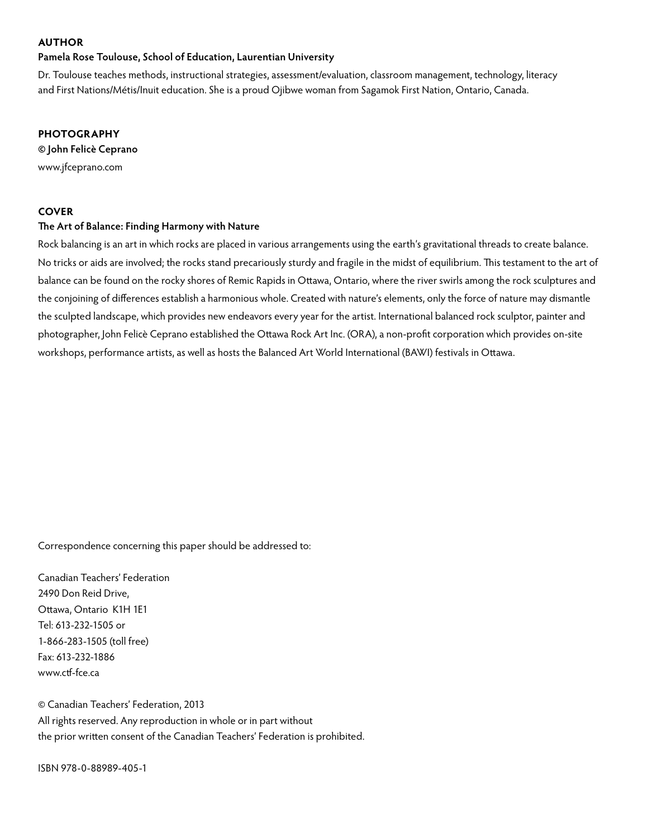#### **AUTHOR**

#### **Pamela Rose Toulouse, School of Education, Laurentian University**

Dr. Toulouse teaches methods, instructional strategies, assessment/evaluation, classroom management, technology, literacy and First Nations/Métis/Inuit education. She is a proud Ojibwe woman from Sagamok First Nation, Ontario, Canada.

#### **Photography**

**© John Felicè Ceprano**

www.jfceprano.com

#### **Cover**

#### **The Art of Balance: Finding Harmony with Nature**

Rock balancing is an art in which rocks are placed in various arrangements using the earth's gravitational threads to create balance. No tricks or aids are involved; the rocks stand precariously sturdy and fragile in the midst of equilibrium. This testament to the art of balance can be found on the rocky shores of Remic Rapids in Ottawa, Ontario, where the river swirls among the rock sculptures and the conjoining of differences establish a harmonious whole. Created with nature's elements, only the force of nature may dismantle the sculpted landscape, which provides new endeavors every year for the artist. International balanced rock sculptor, painter and photographer, John Felicè Ceprano established the Ottawa Rock Art Inc. (ORA), a non-profit corporation which provides on-site workshops, performance artists, as well as hosts the Balanced Art World International (BAWI) festivals in Ottawa.

Correspondence concerning this paper should be addressed to:

Canadian Teachers' Federation 2490 Don Reid Drive, Ottawa, Ontario K1H 1E1 Tel: 613-232-1505 or 1-866-283-1505 (toll free) Fax: 613-232-1886 www.ctf-fce.ca

© Canadian Teachers' Federation, 2013 All rights reserved. Any reproduction in whole or in part without the prior written consent of the Canadian Teachers' Federation is prohibited.

ISBN 978-0-88989-405-1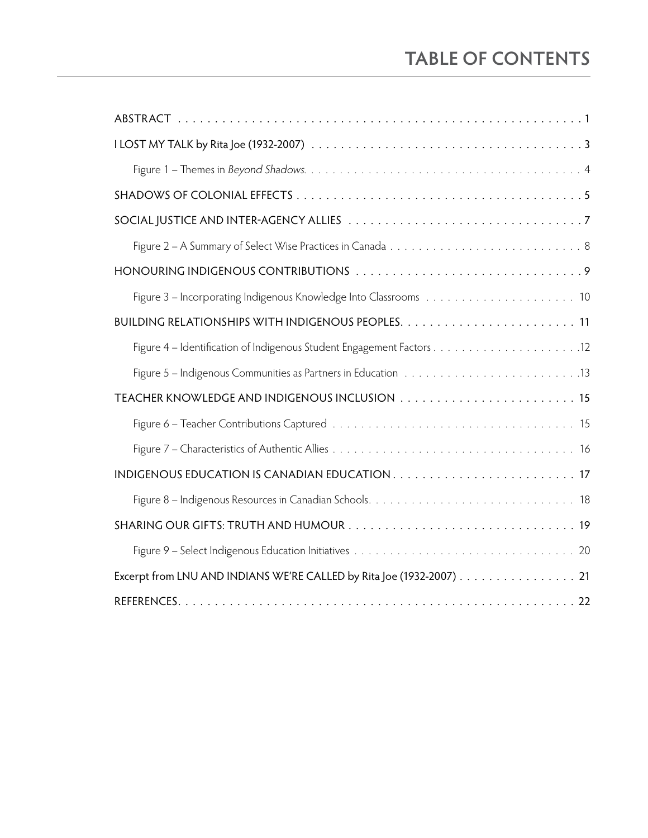## **Table of Contents**

| Excerpt from LNU AND INDIANS WE'RE CALLED by Rita Joe (1932-2007) 21 |
|----------------------------------------------------------------------|
|                                                                      |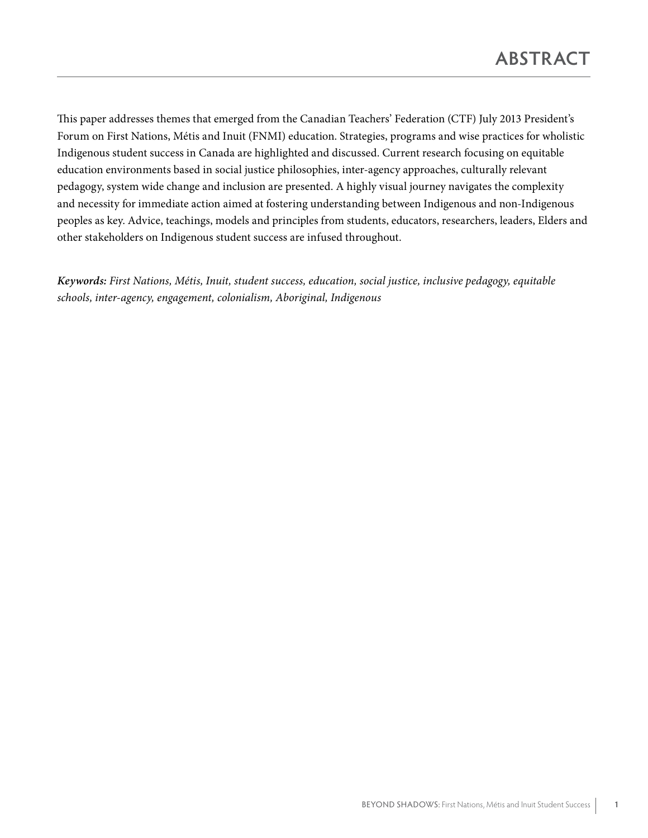This paper addresses themes that emerged from the Canadian Teachers' Federation (CTF) July 2013 President's Forum on First Nations, Métis and Inuit (FNMI) education. Strategies, programs and wise practices for wholistic Indigenous student success in Canada are highlighted and discussed. Current research focusing on equitable education environments based in social justice philosophies, inter-agency approaches, culturally relevant pedagogy, system wide change and inclusion are presented. A highly visual journey navigates the complexity and necessity for immediate action aimed at fostering understanding between Indigenous and non-Indigenous peoples as key. Advice, teachings, models and principles from students, educators, researchers, leaders, Elders and other stakeholders on Indigenous student success are infused throughout.

*Keywords: First Nations, Métis, Inuit, student success, education, social justice, inclusive pedagogy, equitable schools, inter-agency, engagement, colonialism, Aboriginal, Indigenous*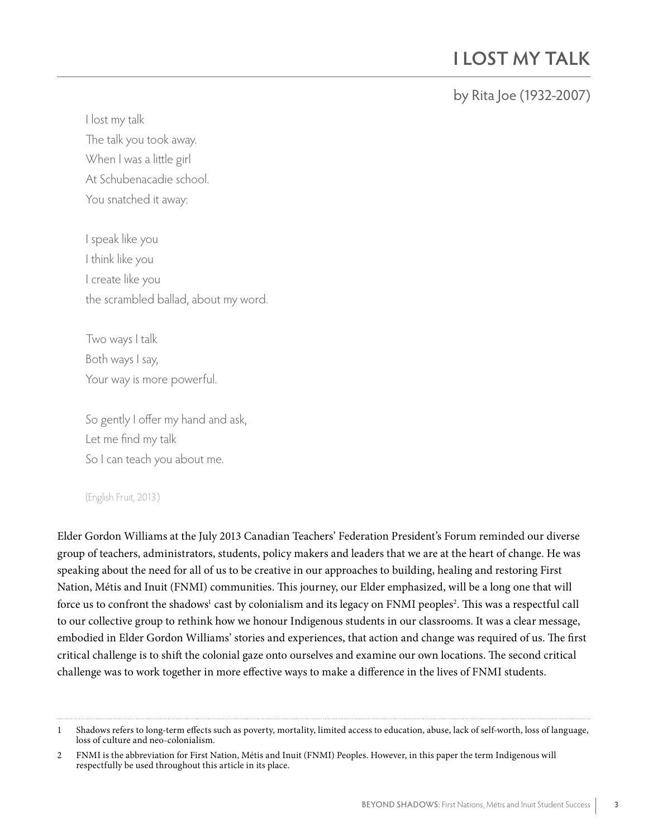## **I LOST MY TALK**

### by Rita Joe (1932-2007)

I lost my talk The talk you took away. When I was a little girl At Schubenacadie school. You snatched it away:

I speak like you I think like you I create like you the scrambled ballad, about my word.

Two ways I talk Both ways I say, Your way is more powerful.

So gently I offer my hand and ask, Let me find my talk So I can teach you about me.

#### (English Fruit, 2013.)

Elder Gordon Williams at the July 2013 Canadian Teachers' Federation President's Forum reminded our diverse group of teachers, administrators, students, policy makers and leaders that we are at the heart of change. He was speaking about the need for all of us to be creative in our approaches to building, healing and restoring First Nation, Métis and Inuit (FNMI) communities. This journey, our Elder emphasized, will be a long one that will force us to confront the shadows<sup>1</sup> cast by colonialism and its legacy on FNMI peoples<sup>2</sup>. This was a respectful call to our collective group to rethink how we honour Indigenous students in our classrooms. It was a clear message, embodied in Elder Gordon Williams' stories and experiences, that action and change was required of us. The first critical challenge is to shift the colonial gaze onto ourselves and examine our own locations. The second critical challenge was to work together in more effective ways to make a difference in the lives of FNMI students.

<sup>1</sup> Shadows refers to long-term effects such as poverty, mortality, limited access to education, abuse, lack of self-worth, loss of language, loss of culture and neo-colonialism.

<sup>2</sup> FNMI is the abbreviation for First Nation, Métis and Inuit (FNMI) Peoples. However, in this paper the term Indigenous will respectfully be used throughout this article in its place.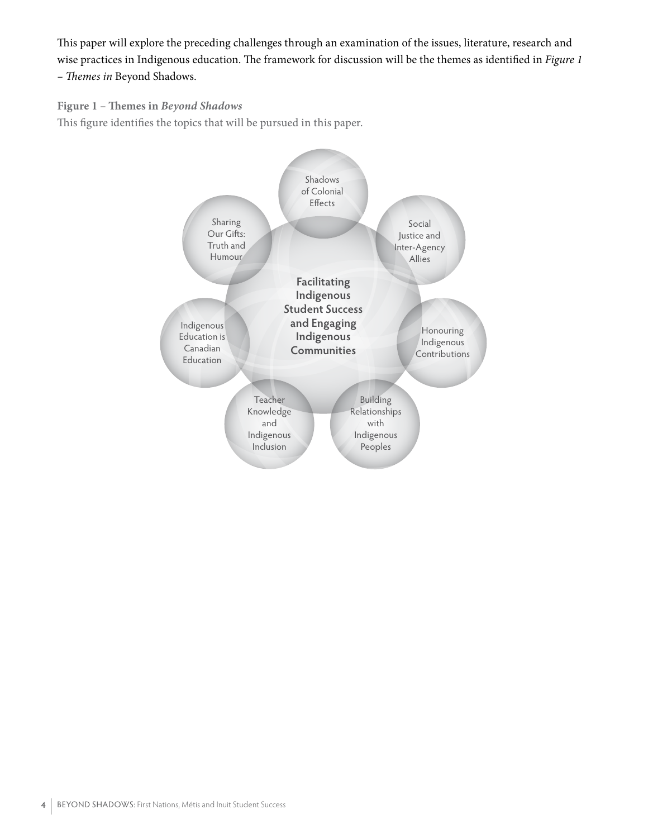This paper will explore the preceding challenges through an examination of the issues, literature, research and wise practices in Indigenous education. The framework for discussion will be the themes as identified in *Figure 1 – Themes in* Beyond Shadows.

**Figure 1 – Themes in** *Beyond Shadows* This figure identifies the topics that will be pursued in this paper.

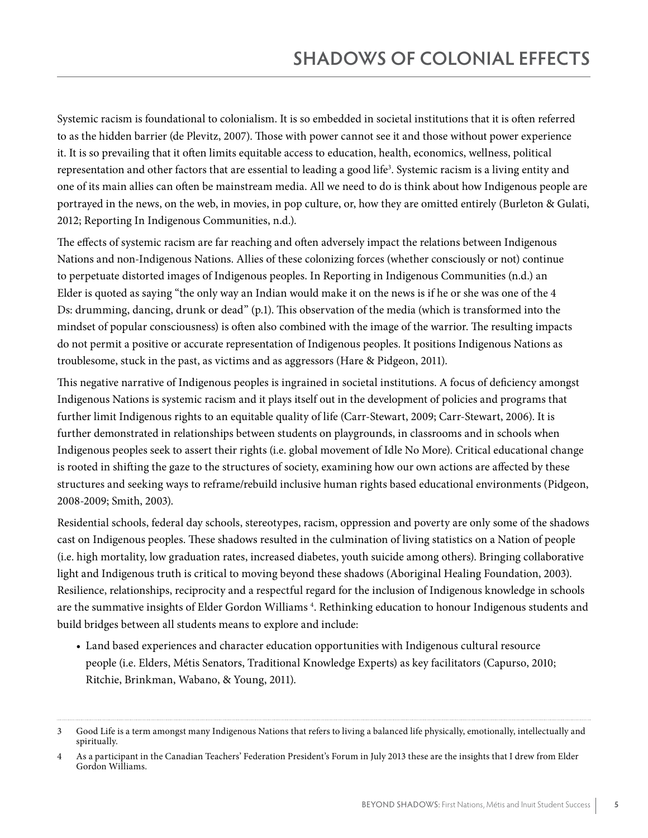Systemic racism is foundational to colonialism. It is so embedded in societal institutions that it is often referred to as the hidden barrier (de Plevitz, 2007). Those with power cannot see it and those without power experience it. It is so prevailing that it often limits equitable access to education, health, economics, wellness, political representation and other factors that are essential to leading a good life<sup>3</sup>. Systemic racism is a living entity and one of its main allies can often be mainstream media. All we need to do is think about how Indigenous people are portrayed in the news, on the web, in movies, in pop culture, or, how they are omitted entirely (Burleton & Gulati, 2012; Reporting In Indigenous Communities, n.d.).

The effects of systemic racism are far reaching and often adversely impact the relations between Indigenous Nations and non-Indigenous Nations. Allies of these colonizing forces (whether consciously or not) continue to perpetuate distorted images of Indigenous peoples. In Reporting in Indigenous Communities (n.d.) an Elder is quoted as saying "the only way an Indian would make it on the news is if he or she was one of the 4 Ds: drumming, dancing, drunk or dead" (p.1). This observation of the media (which is transformed into the mindset of popular consciousness) is often also combined with the image of the warrior. The resulting impacts do not permit a positive or accurate representation of Indigenous peoples. It positions Indigenous Nations as troublesome, stuck in the past, as victims and as aggressors (Hare & Pidgeon, 2011).

This negative narrative of Indigenous peoples is ingrained in societal institutions. A focus of deficiency amongst Indigenous Nations is systemic racism and it plays itself out in the development of policies and programs that further limit Indigenous rights to an equitable quality of life (Carr-Stewart, 2009; Carr-Stewart, 2006). It is further demonstrated in relationships between students on playgrounds, in classrooms and in schools when Indigenous peoples seek to assert their rights (i.e. global movement of Idle No More). Critical educational change is rooted in shifting the gaze to the structures of society, examining how our own actions are affected by these structures and seeking ways to reframe/rebuild inclusive human rights based educational environments (Pidgeon, 2008-2009; Smith, 2003).

Residential schools, federal day schools, stereotypes, racism, oppression and poverty are only some of the shadows cast on Indigenous peoples. These shadows resulted in the culmination of living statistics on a Nation of people (i.e. high mortality, low graduation rates, increased diabetes, youth suicide among others). Bringing collaborative light and Indigenous truth is critical to moving beyond these shadows (Aboriginal Healing Foundation, 2003). Resilience, relationships, reciprocity and a respectful regard for the inclusion of Indigenous knowledge in schools are the summative insights of Elder Gordon Williams <sup>4</sup>. Rethinking education to honour Indigenous students and build bridges between all students means to explore and include:

• Land based experiences and character education opportunities with Indigenous cultural resource people (i.e. Elders, Métis Senators, Traditional Knowledge Experts) as key facilitators (Capurso, 2010; Ritchie, Brinkman, Wabano, & Young, 2011).

<sup>3</sup> Good Life is a term amongst many Indigenous Nations that refers to living a balanced life physically, emotionally, intellectually and spiritually.

<sup>4</sup> As a participant in the Canadian Teachers' Federation President's Forum in July 2013 these are the insights that I drew from Elder Gordon Williams.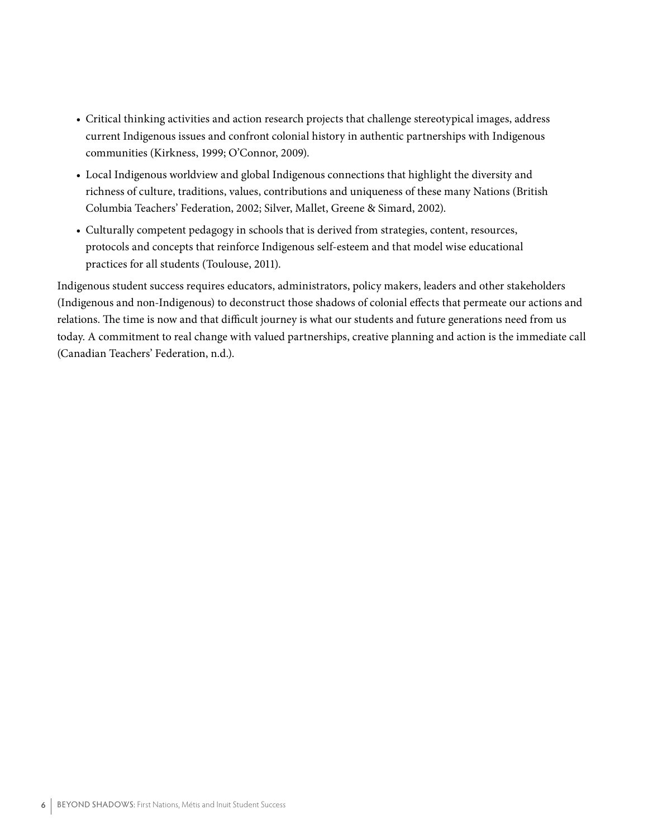- • Critical thinking activities and action research projects that challenge stereotypical images, address current Indigenous issues and confront colonial history in authentic partnerships with Indigenous communities (Kirkness, 1999; O'Connor, 2009).
- • Local Indigenous worldview and global Indigenous connections that highlight the diversity and richness of culture, traditions, values, contributions and uniqueness of these many Nations (British Columbia Teachers' Federation, 2002; Silver, Mallet, Greene & Simard, 2002).
- • Culturally competent pedagogy in schools that is derived from strategies, content, resources, protocols and concepts that reinforce Indigenous self-esteem and that model wise educational practices for all students (Toulouse, 2011).

Indigenous student success requires educators, administrators, policy makers, leaders and other stakeholders (Indigenous and non-Indigenous) to deconstruct those shadows of colonial effects that permeate our actions and relations. The time is now and that difficult journey is what our students and future generations need from us today. A commitment to real change with valued partnerships, creative planning and action is the immediate call (Canadian Teachers' Federation, n.d.).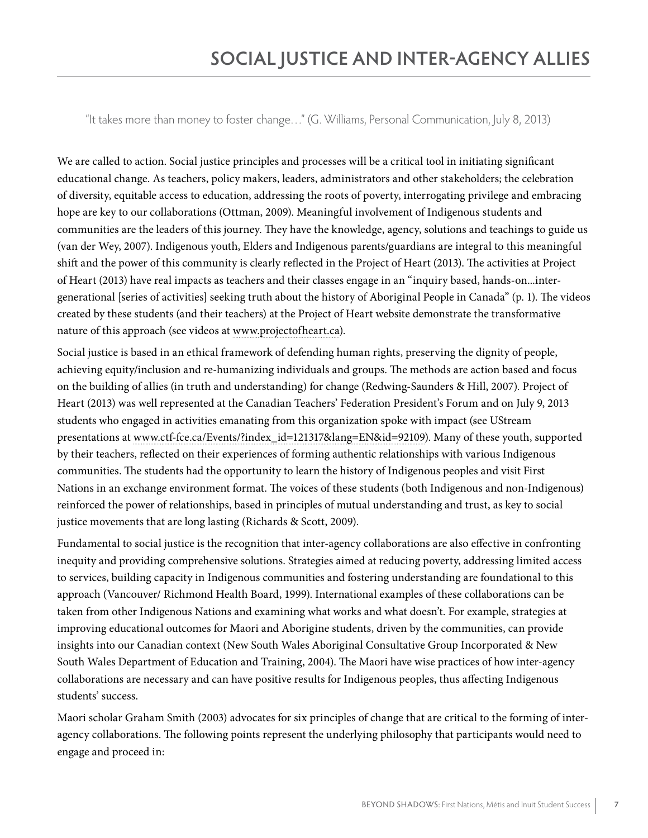"It takes more than money to foster change…" (G. Williams, Personal Communication, July 8, 2013)

We are called to action. Social justice principles and processes will be a critical tool in initiating significant educational change. As teachers, policy makers, leaders, administrators and other stakeholders; the celebration of diversity, equitable access to education, addressing the roots of poverty, interrogating privilege and embracing hope are key to our collaborations (Ottman, 2009). Meaningful involvement of Indigenous students and communities are the leaders of this journey. They have the knowledge, agency, solutions and teachings to guide us (van der Wey, 2007). Indigenous youth, Elders and Indigenous parents/guardians are integral to this meaningful shift and the power of this community is clearly reflected in the Project of Heart (2013). The activities at Project of Heart (2013) have real impacts as teachers and their classes engage in an "inquiry based, hands-on...intergenerational [series of activities] seeking truth about the history of Aboriginal People in Canada" (p. 1). The videos created by these students (and their teachers) at the Project of Heart website demonstrate the transformative nature of this approach (see videos at www.projectofheart.ca).

Social justice is based in an ethical framework of defending human rights, preserving the dignity of people, achieving equity/inclusion and re-humanizing individuals and groups. The methods are action based and focus on the building of allies (in truth and understanding) for change (Redwing-Saunders & Hill, 2007). Project of Heart (2013) was well represented at the Canadian Teachers' Federation President's Forum and on July 9, 2013 students who engaged in activities emanating from this organization spoke with impact (see UStream presentations at www.ctf-fce.ca/Events/?index\_id=121317&lang=EN&id=92109). Many of these youth, supported by their teachers, reflected on their experiences of forming authentic relationships with various Indigenous communities. The students had the opportunity to learn the history of Indigenous peoples and visit First Nations in an exchange environment format. The voices of these students (both Indigenous and non-Indigenous) reinforced the power of relationships, based in principles of mutual understanding and trust, as key to social justice movements that are long lasting (Richards & Scott, 2009).

Fundamental to social justice is the recognition that inter-agency collaborations are also effective in confronting inequity and providing comprehensive solutions. Strategies aimed at reducing poverty, addressing limited access to services, building capacity in Indigenous communities and fostering understanding are foundational to this approach (Vancouver/ Richmond Health Board, 1999). International examples of these collaborations can be taken from other Indigenous Nations and examining what works and what doesn't. For example, strategies at improving educational outcomes for Maori and Aborigine students, driven by the communities, can provide insights into our Canadian context (New South Wales Aboriginal Consultative Group Incorporated & New South Wales Department of Education and Training, 2004). The Maori have wise practices of how inter-agency collaborations are necessary and can have positive results for Indigenous peoples, thus affecting Indigenous students' success.

Maori scholar Graham Smith (2003) advocates for six principles of change that are critical to the forming of interagency collaborations. The following points represent the underlying philosophy that participants would need to engage and proceed in: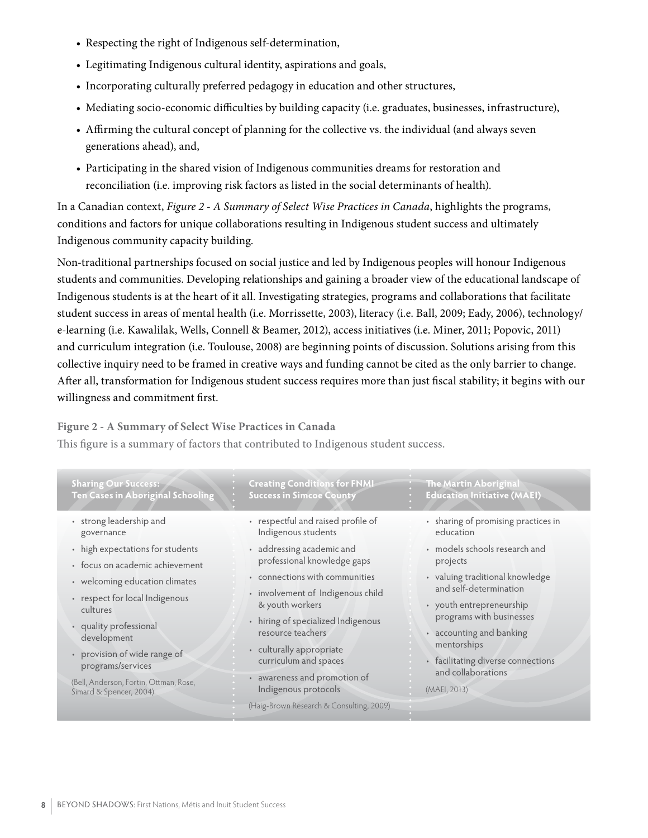- • Respecting the right of Indigenous self-determination,
- Legitimating Indigenous cultural identity, aspirations and goals,
- Incorporating culturally preferred pedagogy in education and other structures,
- • Mediating socio-economic difficulties by building capacity (i.e. graduates, businesses, infrastructure),
- • Affirming the cultural concept of planning for the collective vs. the individual (and always seven generations ahead), and,
- • Participating in the shared vision of Indigenous communities dreams for restoration and reconciliation (i.e. improving risk factors as listed in the social determinants of health).

In a Canadian context, *Figure 2 - A Summary of Select Wise Practices in Canada*, highlights the programs, conditions and factors for unique collaborations resulting in Indigenous student success and ultimately Indigenous community capacity building.

Non-traditional partnerships focused on social justice and led by Indigenous peoples will honour Indigenous students and communities. Developing relationships and gaining a broader view of the educational landscape of Indigenous students is at the heart of it all. Investigating strategies, programs and collaborations that facilitate student success in areas of mental health (i.e. Morrissette, 2003), literacy (i.e. Ball, 2009; Eady, 2006), technology/ e-learning (i.e. Kawalilak, Wells, Connell & Beamer, 2012), access initiatives (i.e. Miner, 2011; Popovic, 2011) and curriculum integration (i.e. Toulouse, 2008) are beginning points of discussion. Solutions arising from this collective inquiry need to be framed in creative ways and funding cannot be cited as the only barrier to change. After all, transformation for Indigenous student success requires more than just fiscal stability; it begins with our willingness and commitment first.

#### **Figure 2 - A Summary of Select Wise Practices in Canada**

This figure is a summary of factors that contributed to Indigenous student success.

#### **Sharing Our Success: Ten Cases in Aboriginal Schooling** • strong leadership and governance • high expectations for students • focus on academic achievement • welcoming education climates • respect for local Indigenous cultures • quality professional development • provision of wide range of programs/services (Bell, Anderson, Fortin, Ottman, Rose, **Creating Conditions for FNMI Success in Simcoe County** • respectful and raised profile of Indigenous students • addressing academic and professional knowledge gaps • connections with communities • involvement of Indigenous child & youth workers • hiring of specialized Indigenous resource teachers • culturally appropriate curriculum and spaces • awareness and promotion of Indigenous protocols **The Martin Aboriginal Education Initiative (MAEI)** • sharing of promising practices in education • models schools research and projects • valuing traditional knowledge and self-determination • youth entrepreneurship programs with businesses • accounting and banking mentorships • facilitating diverse connections and collaborations (MAEI, 2013)

(Haig-Brown Research & Consulting, 2009)

**8** BEYOND SHADOWS: First Nations, Métis and Inuit Student Success

Simard & Spencer, 2004)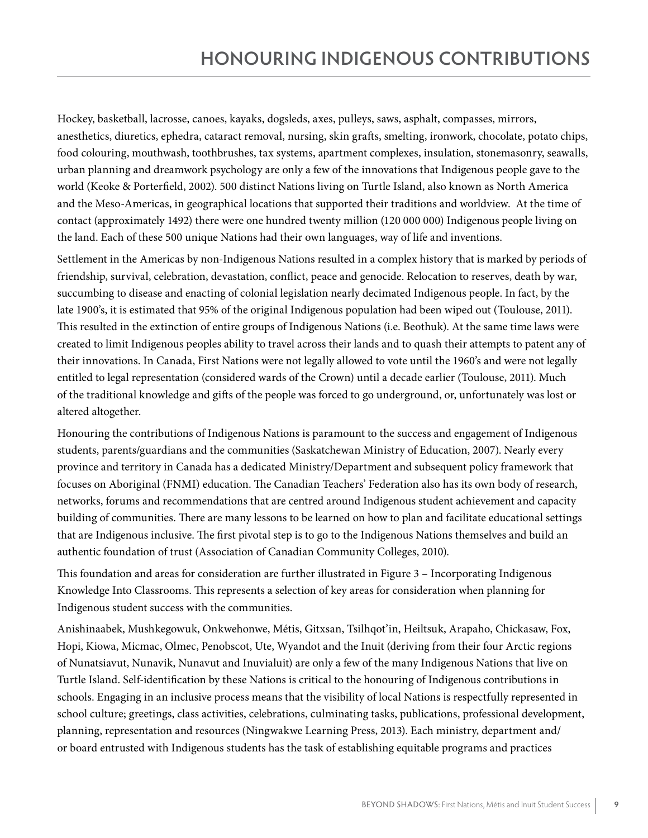Hockey, basketball, lacrosse, canoes, kayaks, dogsleds, axes, pulleys, saws, asphalt, compasses, mirrors, anesthetics, diuretics, ephedra, cataract removal, nursing, skin grafts, smelting, ironwork, chocolate, potato chips, food colouring, mouthwash, toothbrushes, tax systems, apartment complexes, insulation, stonemasonry, seawalls, urban planning and dreamwork psychology are only a few of the innovations that Indigenous people gave to the world (Keoke & Porterfield, 2002). 500 distinct Nations living on Turtle Island, also known as North America and the Meso-Americas, in geographical locations that supported their traditions and worldview. At the time of contact (approximately 1492) there were one hundred twenty million (120 000 000) Indigenous people living on the land. Each of these 500 unique Nations had their own languages, way of life and inventions.

Settlement in the Americas by non-Indigenous Nations resulted in a complex history that is marked by periods of friendship, survival, celebration, devastation, conflict, peace and genocide. Relocation to reserves, death by war, succumbing to disease and enacting of colonial legislation nearly decimated Indigenous people. In fact, by the late 1900's, it is estimated that 95% of the original Indigenous population had been wiped out (Toulouse, 2011). This resulted in the extinction of entire groups of Indigenous Nations (i.e. Beothuk). At the same time laws were created to limit Indigenous peoples ability to travel across their lands and to quash their attempts to patent any of their innovations. In Canada, First Nations were not legally allowed to vote until the 1960's and were not legally entitled to legal representation (considered wards of the Crown) until a decade earlier (Toulouse, 2011). Much of the traditional knowledge and gifts of the people was forced to go underground, or, unfortunately was lost or altered altogether.

Honouring the contributions of Indigenous Nations is paramount to the success and engagement of Indigenous students, parents/guardians and the communities (Saskatchewan Ministry of Education, 2007). Nearly every province and territory in Canada has a dedicated Ministry/Department and subsequent policy framework that focuses on Aboriginal (FNMI) education. The Canadian Teachers' Federation also has its own body of research, networks, forums and recommendations that are centred around Indigenous student achievement and capacity building of communities. There are many lessons to be learned on how to plan and facilitate educational settings that are Indigenous inclusive. The first pivotal step is to go to the Indigenous Nations themselves and build an authentic foundation of trust (Association of Canadian Community Colleges, 2010).

This foundation and areas for consideration are further illustrated in Figure 3 – Incorporating Indigenous Knowledge Into Classrooms. This represents a selection of key areas for consideration when planning for Indigenous student success with the communities.

Anishinaabek, Mushkegowuk, Onkwehonwe, Métis, Gitxsan, Tsilhqot'in, Heiltsuk, Arapaho, Chickasaw, Fox, Hopi, Kiowa, Micmac, Olmec, Penobscot, Ute, Wyandot and the Inuit (deriving from their four Arctic regions of Nunatsiavut, Nunavik, Nunavut and Inuvialuit) are only a few of the many Indigenous Nations that live on Turtle Island. Self-identification by these Nations is critical to the honouring of Indigenous contributions in schools. Engaging in an inclusive process means that the visibility of local Nations is respectfully represented in school culture; greetings, class activities, celebrations, culminating tasks, publications, professional development, planning, representation and resources (Ningwakwe Learning Press, 2013). Each ministry, department and/ or board entrusted with Indigenous students has the task of establishing equitable programs and practices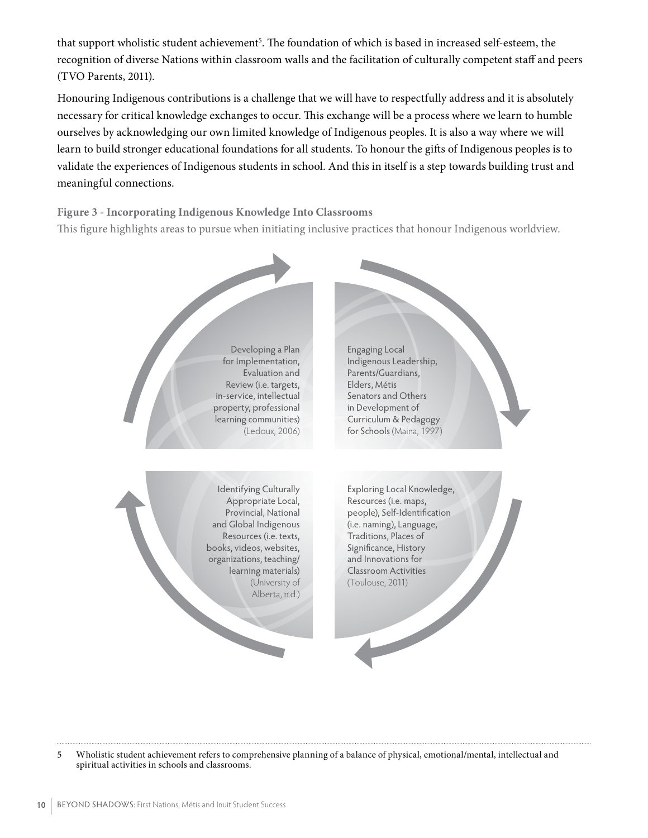that support wholistic student achievement<sup>5</sup>. The foundation of which is based in increased self-esteem, the recognition of diverse Nations within classroom walls and the facilitation of culturally competent staff and peers (TVO Parents, 2011).

Honouring Indigenous contributions is a challenge that we will have to respectfully address and it is absolutely necessary for critical knowledge exchanges to occur. This exchange will be a process where we learn to humble ourselves by acknowledging our own limited knowledge of Indigenous peoples. It is also a way where we will learn to build stronger educational foundations for all students. To honour the gifts of Indigenous peoples is to validate the experiences of Indigenous students in school. And this in itself is a step towards building trust and meaningful connections.

**Figure 3 - Incorporating Indigenous Knowledge Into Classrooms**

This figure highlights areas to pursue when initiating inclusive practices that honour Indigenous worldview.

Developing a Plan for Implementation, Evaluation and Review (i.e. targets, in-service, intellectual property, professional learning communities) (Ledoux, 2006) Identifying Culturally Appropriate Local, Provincial, National and Global Indigenous Resources (i.e. texts, books, videos, websites, organizations, teaching/ learning materials) (University of Alberta, n.d.) Engaging Local Indigenous Leadership, Parents/Guardians, Elders, Métis Senators and Others in Development of Curriculum & Pedagogy for Schools (Maina, 1997) Exploring Local Knowledge, Resources (i.e. maps, people), Self-Identification (i.e. naming), Language, Traditions, Places of Significance, History and Innovations for Classroom Activities (Toulouse, 2011)

5 Wholistic student achievement refers to comprehensive planning of a balance of physical, emotional/mental, intellectual and spiritual activities in schools and classrooms.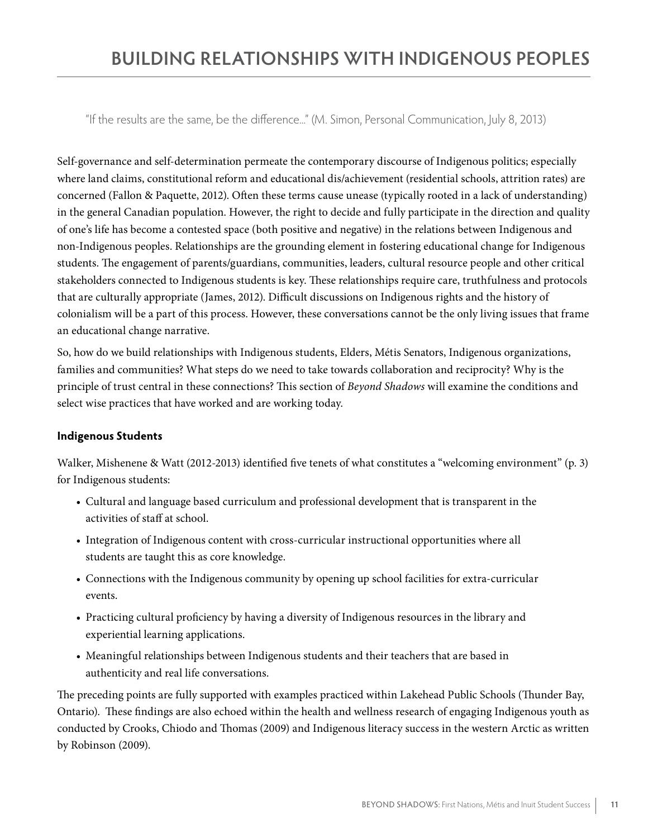"If the results are the same, be the difference..." (M. Simon, Personal Communication, July 8, 2013)

Self-governance and self-determination permeate the contemporary discourse of Indigenous politics; especially where land claims, constitutional reform and educational dis/achievement (residential schools, attrition rates) are concerned (Fallon & Paquette, 2012). Often these terms cause unease (typically rooted in a lack of understanding) in the general Canadian population. However, the right to decide and fully participate in the direction and quality of one's life has become a contested space (both positive and negative) in the relations between Indigenous and non-Indigenous peoples. Relationships are the grounding element in fostering educational change for Indigenous students. The engagement of parents/guardians, communities, leaders, cultural resource people and other critical stakeholders connected to Indigenous students is key. These relationships require care, truthfulness and protocols that are culturally appropriate (James, 2012). Difficult discussions on Indigenous rights and the history of colonialism will be a part of this process. However, these conversations cannot be the only living issues that frame an educational change narrative.

So, how do we build relationships with Indigenous students, Elders, Métis Senators, Indigenous organizations, families and communities? What steps do we need to take towards collaboration and reciprocity? Why is the principle of trust central in these connections? This section of *Beyond Shadows* will examine the conditions and select wise practices that have worked and are working today.

#### **Indigenous Students**

Walker, Mishenene & Watt (2012-2013) identified five tenets of what constitutes a "welcoming environment" (p. 3) for Indigenous students:

- • Cultural and language based curriculum and professional development that is transparent in the activities of staff at school.
- Integration of Indigenous content with cross-curricular instructional opportunities where all students are taught this as core knowledge.
- • Connections with the Indigenous community by opening up school facilities for extra-curricular events.
- • Practicing cultural proficiency by having a diversity of Indigenous resources in the library and experiential learning applications.
- • Meaningful relationships between Indigenous students and their teachers that are based in authenticity and real life conversations.

The preceding points are fully supported with examples practiced within Lakehead Public Schools (Thunder Bay, Ontario). These findings are also echoed within the health and wellness research of engaging Indigenous youth as conducted by Crooks, Chiodo and Thomas (2009) and Indigenous literacy success in the western Arctic as written by Robinson (2009).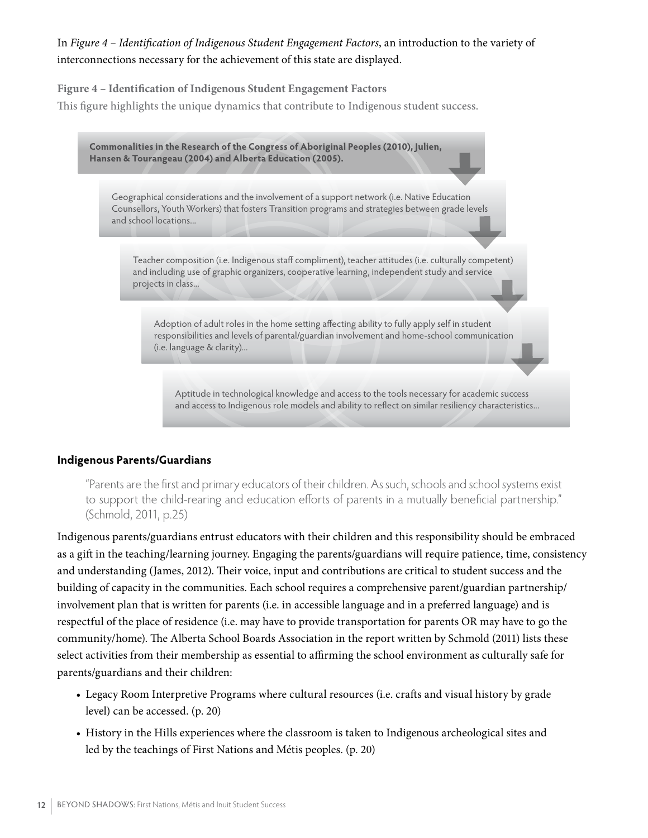#### In *Figure 4 – Identification of Indigenous Student Engagement Factors*, an introduction to the variety of interconnections necessary for the achievement of this state are displayed.

#### **Figure 4 – Identification of Indigenous Student Engagement Factors**

This figure highlights the unique dynamics that contribute to Indigenous student success.

**Commonalities in the Research of the Congress of Aboriginal Peoples (2010), Julien, Hansen & Tourangeau (2004) and Alberta Education (2005).**

Geographical considerations and the involvement of a support network (i.e. Native Education Counsellors, Youth Workers) that fosters Transition programs and strategies between grade levels and school locations...

Teacher composition (i.e. Indigenous staff compliment), teacher attitudes (i.e. culturally competent) and including use of graphic organizers, cooperative learning, independent study and service projects in class...

Adoption of adult roles in the home setting affecting ability to fully apply self in student responsibilities and levels of parental/guardian involvement and home-school communication (i.e. language & clarity)...

Aptitude in technological knowledge and access to the tools necessary for academic success and access to Indigenous role models and ability to reflect on similar resiliency characteristics...

#### **Indigenous Parents/Guardians**

"Parents are the first and primary educators of their children. As such, schools and school systems exist to support the child-rearing and education efforts of parents in a mutually beneficial partnership." (Schmold, 2011, p.25)

Indigenous parents/guardians entrust educators with their children and this responsibility should be embraced as a gift in the teaching/learning journey. Engaging the parents/guardians will require patience, time, consistency and understanding (James, 2012). Their voice, input and contributions are critical to student success and the building of capacity in the communities. Each school requires a comprehensive parent/guardian partnership/ involvement plan that is written for parents (i.e. in accessible language and in a preferred language) and is respectful of the place of residence (i.e. may have to provide transportation for parents OR may have to go the community/home). The Alberta School Boards Association in the report written by Schmold (2011) lists these select activities from their membership as essential to affirming the school environment as culturally safe for parents/guardians and their children:

- • Legacy Room Interpretive Programs where cultural resources (i.e. crafts and visual history by grade level) can be accessed. (p. 20)
- History in the Hills experiences where the classroom is taken to Indigenous archeological sites and led by the teachings of First Nations and Métis peoples. (p. 20)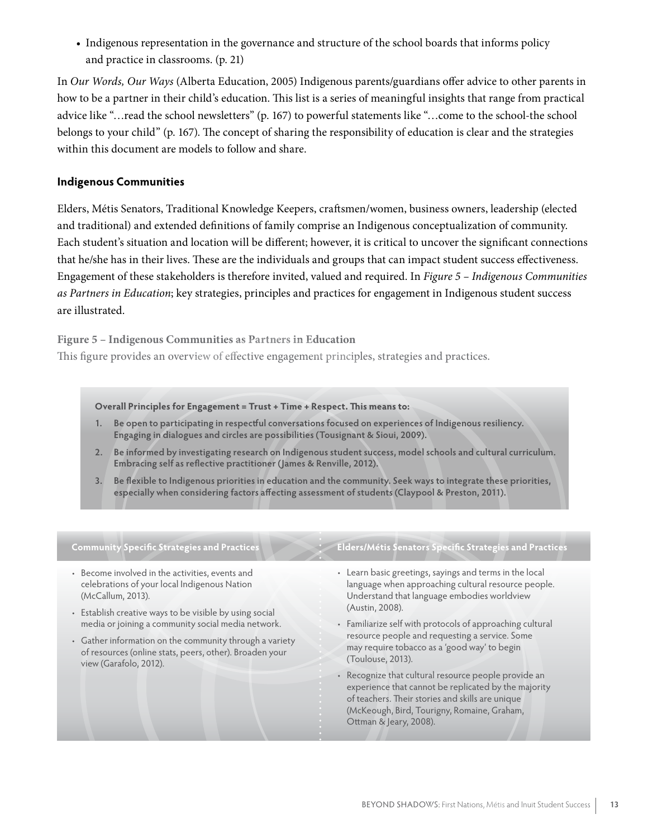• Indigenous representation in the governance and structure of the school boards that informs policy and practice in classrooms. (p. 21)

In *Our Words, Our Ways* (Alberta Education, 2005) Indigenous parents/guardians offer advice to other parents in how to be a partner in their child's education. This list is a series of meaningful insights that range from practical advice like "…read the school newsletters" (p. 167) to powerful statements like "…come to the school-the school belongs to your child" (p. 167). The concept of sharing the responsibility of education is clear and the strategies within this document are models to follow and share.

#### **Indigenous Communities**

Elders, Métis Senators, Traditional Knowledge Keepers, craftsmen/women, business owners, leadership (elected and traditional) and extended definitions of family comprise an Indigenous conceptualization of community. Each student's situation and location will be different; however, it is critical to uncover the significant connections that he/she has in their lives. These are the individuals and groups that can impact student success effectiveness. Engagement of these stakeholders is therefore invited, valued and required. In *Figure 5 – Indigenous Communities as Partners in Education*; key strategies, principles and practices for engagement in Indigenous student success are illustrated.

**Figure 5 – Indigenous Communities as Partners in Education** 

This figure provides an overview of effective engagement principles, strategies and practices.

**Overall Principles for Engagement = Trust + Time + Respect. This means to:** 

- **1. Be open to participating in respectful conversations focused on experiences of Indigenous resiliency. Engaging in dialogues and circles are possibilities (Tousignant & Sioui, 2009).**
- **2. Be informed by investigating research on Indigenous student success, model schools and cultural curriculum. Embracing self as reflective practitioner (James & Renville, 2012).**
- **3. Be flexible to Indigenous priorities in education and the community. Seek ways to integrate these priorities, especially when considering factors affecting assessment of students (Claypool & Preston, 2011).**

#### **Community Specific Strategies and Practices**

- • Become involved in the activities, events and celebrations of your local Indigenous Nation (McCallum, 2013).
- Establish creative ways to be visible by using social media or joining a community social media network.
- • Gather information on the community through a variety of resources (online stats, peers, other). Broaden your view (Garafolo, 2012).

#### **Elders/Métis Senators Specific Strategies and Practices**

- • Learn basic greetings, sayings and terms in the local language when approaching cultural resource people. Understand that language embodies worldview (Austin, 2008).
- • Familiarize self with protocols of approaching cultural resource people and requesting a service. Some may require tobacco as a 'good way' to begin (Toulouse, 2013).
- Recognize that cultural resource people provide an experience that cannot be replicated by the majority of teachers. Their stories and skills are unique (McKeough, Bird, Tourigny, Romaine, Graham, Ottman & Jeary, 2008).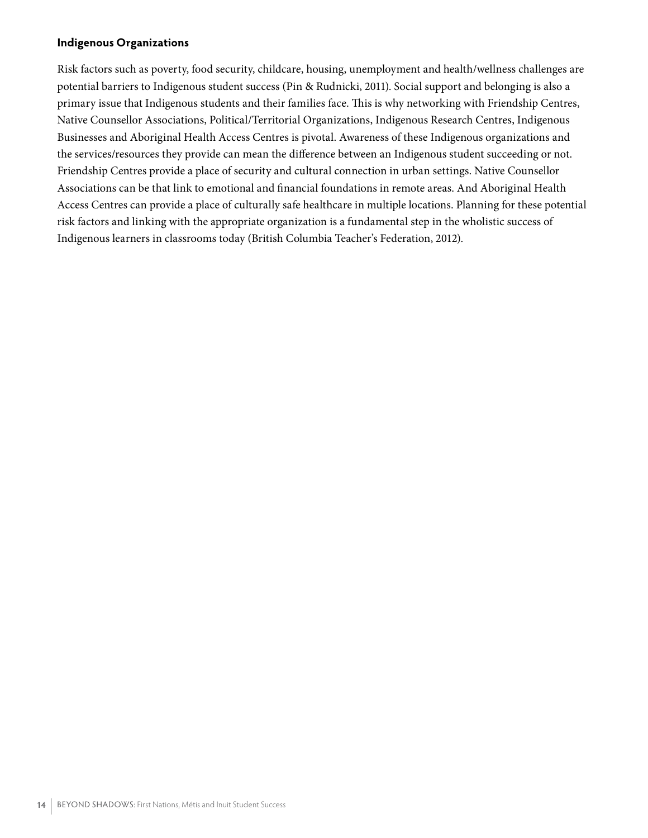#### **Indigenous Organizations**

Risk factors such as poverty, food security, childcare, housing, unemployment and health/wellness challenges are potential barriers to Indigenous student success (Pin & Rudnicki, 2011). Social support and belonging is also a primary issue that Indigenous students and their families face. This is why networking with Friendship Centres, Native Counsellor Associations, Political/Territorial Organizations, Indigenous Research Centres, Indigenous Businesses and Aboriginal Health Access Centres is pivotal. Awareness of these Indigenous organizations and the services/resources they provide can mean the difference between an Indigenous student succeeding or not. Friendship Centres provide a place of security and cultural connection in urban settings. Native Counsellor Associations can be that link to emotional and financial foundations in remote areas. And Aboriginal Health Access Centres can provide a place of culturally safe healthcare in multiple locations. Planning for these potential risk factors and linking with the appropriate organization is a fundamental step in the wholistic success of Indigenous learners in classrooms today (British Columbia Teacher's Federation, 2012).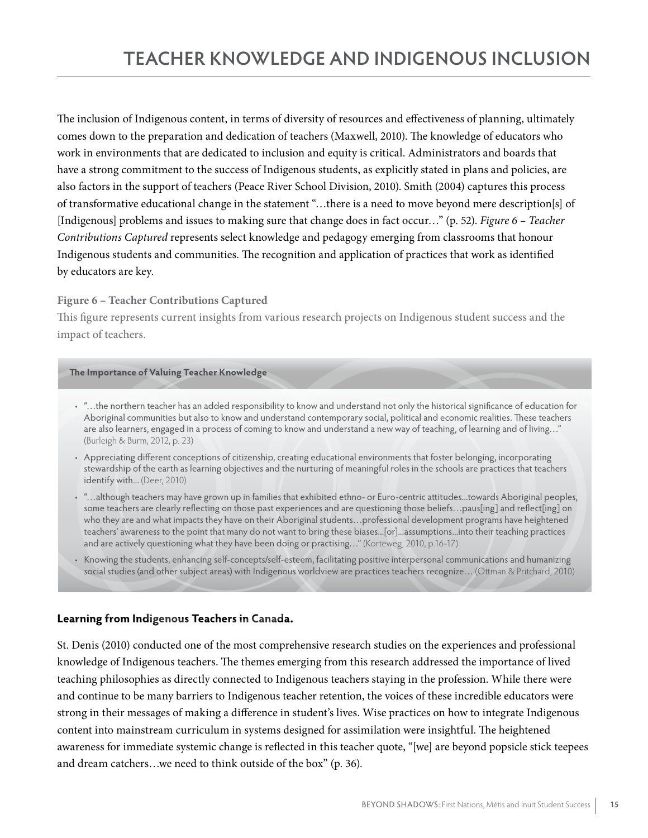The inclusion of Indigenous content, in terms of diversity of resources and effectiveness of planning, ultimately comes down to the preparation and dedication of teachers (Maxwell, 2010). The knowledge of educators who work in environments that are dedicated to inclusion and equity is critical. Administrators and boards that have a strong commitment to the success of Indigenous students, as explicitly stated in plans and policies, are also factors in the support of teachers (Peace River School Division, 2010). Smith (2004) captures this process of transformative educational change in the statement "…there is a need to move beyond mere description[s] of [Indigenous] problems and issues to making sure that change does in fact occur…" (p. 52). *Figure 6 – Teacher Contributions Captured* represents select knowledge and pedagogy emerging from classrooms that honour Indigenous students and communities. The recognition and application of practices that work as identified by educators are key.

#### **Figure 6 – Teacher Contributions Captured**

This figure represents current insights from various research projects on Indigenous student success and the impact of teachers.

#### **The Importance of Valuing Teacher Knowledge**

- • "…the northern teacher has an added responsibility to know and understand not only the historical significance of education for Aboriginal communities but also to know and understand contemporary social, political and economic realities. These teachers are also learners, engaged in a process of coming to know and understand a new way of teaching, of learning and of living…" (Burleigh & Burm, 2012, p. 23)
- • Appreciating different conceptions of citizenship, creating educational environments that foster belonging, incorporating stewardship of the earth as learning objectives and the nurturing of meaningful roles in the schools are practices that teachers identify with... (Deer, 2010)
- • "…although teachers may have grown up in families that exhibited ethno- or Euro-centric attitudes...towards Aboriginal peoples, some teachers are clearly reflecting on those past experiences and are questioning those beliefs…paus[ing] and reflect[ing] on who they are and what impacts they have on their Aboriginal students…professional development programs have heightened teachers' awareness to the point that many do not want to bring these biases...[or]...assumptions...into their teaching practices and are actively questioning what they have been doing or practising…" (Korteweg, 2010, p.16-17)
- • Knowing the students, enhancing self-concepts/self-esteem, facilitating positive interpersonal communications and humanizing social studies (and other subject areas) with Indigenous worldview are practices teachers recognize… (Ottman & Pritchard, 2010)

#### **Learning from Indigenous Teachers in Canada.**

St. Denis (2010) conducted one of the most comprehensive research studies on the experiences and professional knowledge of Indigenous teachers. The themes emerging from this research addressed the importance of lived teaching philosophies as directly connected to Indigenous teachers staying in the profession. While there were and continue to be many barriers to Indigenous teacher retention, the voices of these incredible educators were strong in their messages of making a difference in student's lives. Wise practices on how to integrate Indigenous content into mainstream curriculum in systems designed for assimilation were insightful. The heightened awareness for immediate systemic change is reflected in this teacher quote, "[we] are beyond popsicle stick teepees and dream catchers…we need to think outside of the box" (p. 36).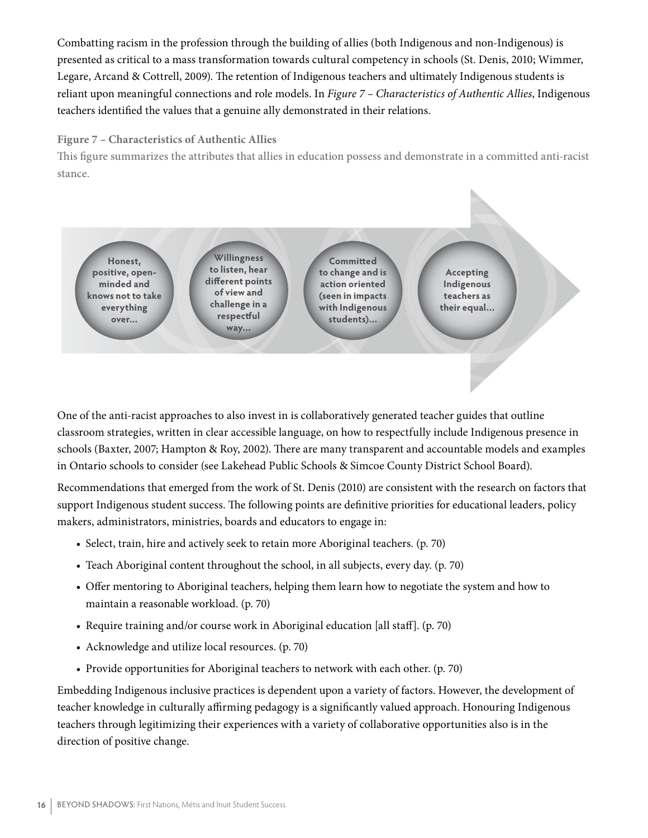Combatting racism in the profession through the building of allies (both Indigenous and non-Indigenous) is presented as critical to a mass transformation towards cultural competency in schools (St. Denis, 2010; Wimmer, Legare, Arcand & Cottrell, 2009). The retention of Indigenous teachers and ultimately Indigenous students is reliant upon meaningful connections and role models. In *Figure 7 – Characteristics of Authentic Allies*, Indigenous teachers identified the values that a genuine ally demonstrated in their relations.

#### **Figure 7 – Characteristics of Authentic Allies**

This figure summarizes the attributes that allies in education possess and demonstrate in a committed anti-racist stance.



One of the anti-racist approaches to also invest in is collaboratively generated teacher guides that outline classroom strategies, written in clear accessible language, on how to respectfully include Indigenous presence in schools (Baxter, 2007; Hampton & Roy, 2002). There are many transparent and accountable models and examples in Ontario schools to consider (see Lakehead Public Schools & Simcoe County District School Board).

Recommendations that emerged from the work of St. Denis (2010) are consistent with the research on factors that support Indigenous student success. The following points are definitive priorities for educational leaders, policy makers, administrators, ministries, boards and educators to engage in:

- Select, train, hire and actively seek to retain more Aboriginal teachers. (p. 70)
- Teach Aboriginal content throughout the school, in all subjects, every day. (p. 70)
- • Offer mentoring to Aboriginal teachers, helping them learn how to negotiate the system and how to maintain a reasonable workload. (p. 70)
- • Require training and/or course work in Aboriginal education [all staff]. (p. 70)
- Acknowledge and utilize local resources. (p. 70)
- Provide opportunities for Aboriginal teachers to network with each other. (p. 70)

Embedding Indigenous inclusive practices is dependent upon a variety of factors. However, the development of teacher knowledge in culturally affirming pedagogy is a significantly valued approach. Honouring Indigenous teachers through legitimizing their experiences with a variety of collaborative opportunities also is in the direction of positive change.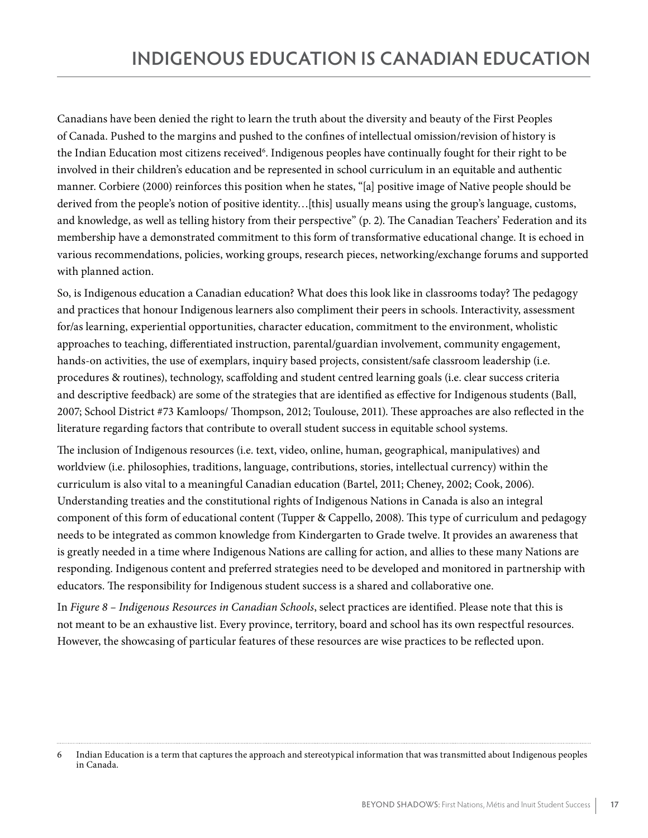Canadians have been denied the right to learn the truth about the diversity and beauty of the First Peoples of Canada. Pushed to the margins and pushed to the confines of intellectual omission/revision of history is the Indian Education most citizens received<sup>6</sup>. Indigenous peoples have continually fought for their right to be involved in their children's education and be represented in school curriculum in an equitable and authentic manner. Corbiere (2000) reinforces this position when he states, "[a] positive image of Native people should be derived from the people's notion of positive identity...[this] usually means using the group's language, customs, and knowledge, as well as telling history from their perspective" (p. 2). The Canadian Teachers' Federation and its membership have a demonstrated commitment to this form of transformative educational change. It is echoed in various recommendations, policies, working groups, research pieces, networking/exchange forums and supported with planned action.

So, is Indigenous education a Canadian education? What does this look like in classrooms today? The pedagogy and practices that honour Indigenous learners also compliment their peers in schools. Interactivity, assessment for/as learning, experiential opportunities, character education, commitment to the environment, wholistic approaches to teaching, differentiated instruction, parental/guardian involvement, community engagement, hands-on activities, the use of exemplars, inquiry based projects, consistent/safe classroom leadership (i.e. procedures & routines), technology, scaffolding and student centred learning goals (i.e. clear success criteria and descriptive feedback) are some of the strategies that are identified as effective for Indigenous students (Ball, 2007; School District #73 Kamloops/ Thompson, 2012; Toulouse, 2011). These approaches are also reflected in the literature regarding factors that contribute to overall student success in equitable school systems.

The inclusion of Indigenous resources (i.e. text, video, online, human, geographical, manipulatives) and worldview (i.e. philosophies, traditions, language, contributions, stories, intellectual currency) within the curriculum is also vital to a meaningful Canadian education (Bartel, 2011; Cheney, 2002; Cook, 2006). Understanding treaties and the constitutional rights of Indigenous Nations in Canada is also an integral component of this form of educational content (Tupper & Cappello, 2008). This type of curriculum and pedagogy needs to be integrated as common knowledge from Kindergarten to Grade twelve. It provides an awareness that is greatly needed in a time where Indigenous Nations are calling for action, and allies to these many Nations are responding. Indigenous content and preferred strategies need to be developed and monitored in partnership with educators. The responsibility for Indigenous student success is a shared and collaborative one.

In *Figure 8 – Indigenous Resources in Canadian Schools*, select practices are identified. Please note that this is not meant to be an exhaustive list. Every province, territory, board and school has its own respectful resources. However, the showcasing of particular features of these resources are wise practices to be reflected upon.

<sup>6</sup> Indian Education is a term that captures the approach and stereotypical information that was transmitted about Indigenous peoples in Canada.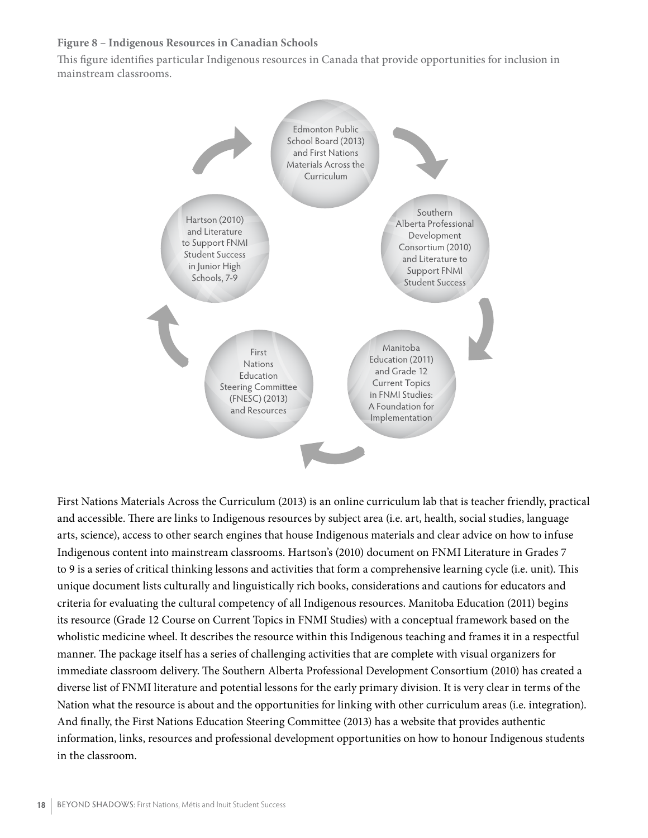#### **Figure 8 – Indigenous Resources in Canadian Schools**

This figure identifies particular Indigenous resources in Canada that provide opportunities for inclusion in mainstream classrooms.



First Nations Materials Across the Curriculum (2013) is an online curriculum lab that is teacher friendly, practical and accessible. There are links to Indigenous resources by subject area (i.e. art, health, social studies, language arts, science), access to other search engines that house Indigenous materials and clear advice on how to infuse Indigenous content into mainstream classrooms. Hartson's (2010) document on FNMI Literature in Grades 7 to 9 is a series of critical thinking lessons and activities that form a comprehensive learning cycle (i.e. unit). This unique document lists culturally and linguistically rich books, considerations and cautions for educators and criteria for evaluating the cultural competency of all Indigenous resources. Manitoba Education (2011) begins its resource (Grade 12 Course on Current Topics in FNMI Studies) with a conceptual framework based on the wholistic medicine wheel. It describes the resource within this Indigenous teaching and frames it in a respectful manner. The package itself has a series of challenging activities that are complete with visual organizers for immediate classroom delivery. The Southern Alberta Professional Development Consortium (2010) has created a diverse list of FNMI literature and potential lessons for the early primary division. It is very clear in terms of the Nation what the resource is about and the opportunities for linking with other curriculum areas (i.e. integration). And finally, the First Nations Education Steering Committee (2013) has a website that provides authentic information, links, resources and professional development opportunities on how to honour Indigenous students in the classroom.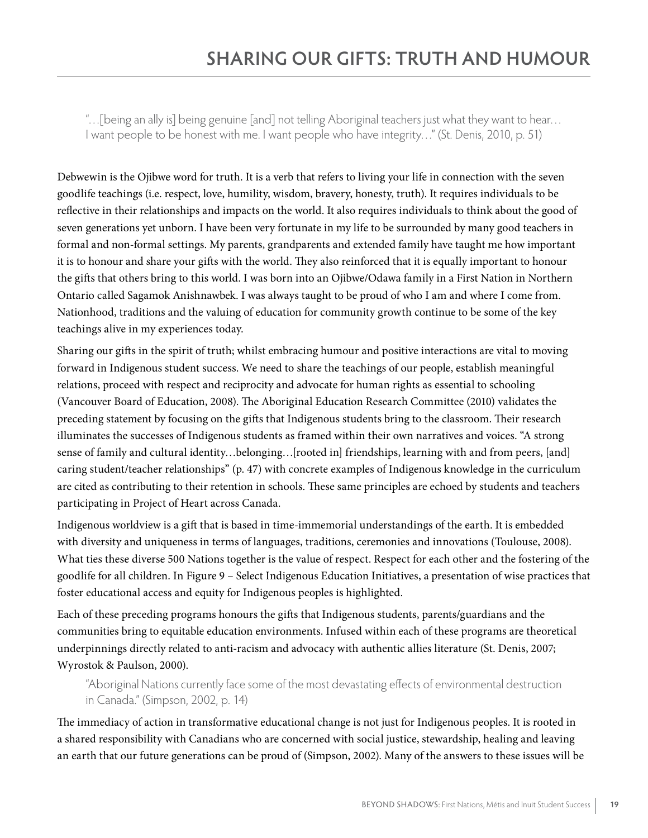"…[being an ally is] being genuine [and] not telling Aboriginal teachers just what they want to hear… I want people to be honest with me. I want people who have integrity…" (St. Denis, 2010, p. 51)

Debwewin is the Ojibwe word for truth. It is a verb that refers to living your life in connection with the seven goodlife teachings (i.e. respect, love, humility, wisdom, bravery, honesty, truth). It requires individuals to be reflective in their relationships and impacts on the world. It also requires individuals to think about the good of seven generations yet unborn. I have been very fortunate in my life to be surrounded by many good teachers in formal and non-formal settings. My parents, grandparents and extended family have taught me how important it is to honour and share your gifts with the world. They also reinforced that it is equally important to honour the gifts that others bring to this world. I was born into an Ojibwe/Odawa family in a First Nation in Northern Ontario called Sagamok Anishnawbek. I was always taught to be proud of who I am and where I come from. Nationhood, traditions and the valuing of education for community growth continue to be some of the key teachings alive in my experiences today.

Sharing our gifts in the spirit of truth; whilst embracing humour and positive interactions are vital to moving forward in Indigenous student success. We need to share the teachings of our people, establish meaningful relations, proceed with respect and reciprocity and advocate for human rights as essential to schooling (Vancouver Board of Education, 2008). The Aboriginal Education Research Committee (2010) validates the preceding statement by focusing on the gifts that Indigenous students bring to the classroom. Their research illuminates the successes of Indigenous students as framed within their own narratives and voices. "A strong sense of family and cultural identity…belonging…[rooted in] friendships, learning with and from peers, [and] caring student/teacher relationships" (p. 47) with concrete examples of Indigenous knowledge in the curriculum are cited as contributing to their retention in schools. These same principles are echoed by students and teachers participating in Project of Heart across Canada.

Indigenous worldview is a gift that is based in time-immemorial understandings of the earth. It is embedded with diversity and uniqueness in terms of languages, traditions, ceremonies and innovations (Toulouse, 2008). What ties these diverse 500 Nations together is the value of respect. Respect for each other and the fostering of the goodlife for all children. In Figure 9 – Select Indigenous Education Initiatives, a presentation of wise practices that foster educational access and equity for Indigenous peoples is highlighted.

Each of these preceding programs honours the gifts that Indigenous students, parents/guardians and the communities bring to equitable education environments. Infused within each of these programs are theoretical underpinnings directly related to anti-racism and advocacy with authentic allies literature (St. Denis, 2007; Wyrostok & Paulson, 2000).

"Aboriginal Nations currently face some of the most devastating effects of environmental destruction in Canada." (Simpson, 2002, p. 14)

The immediacy of action in transformative educational change is not just for Indigenous peoples. It is rooted in a shared responsibility with Canadians who are concerned with social justice, stewardship, healing and leaving an earth that our future generations can be proud of (Simpson, 2002). Many of the answers to these issues will be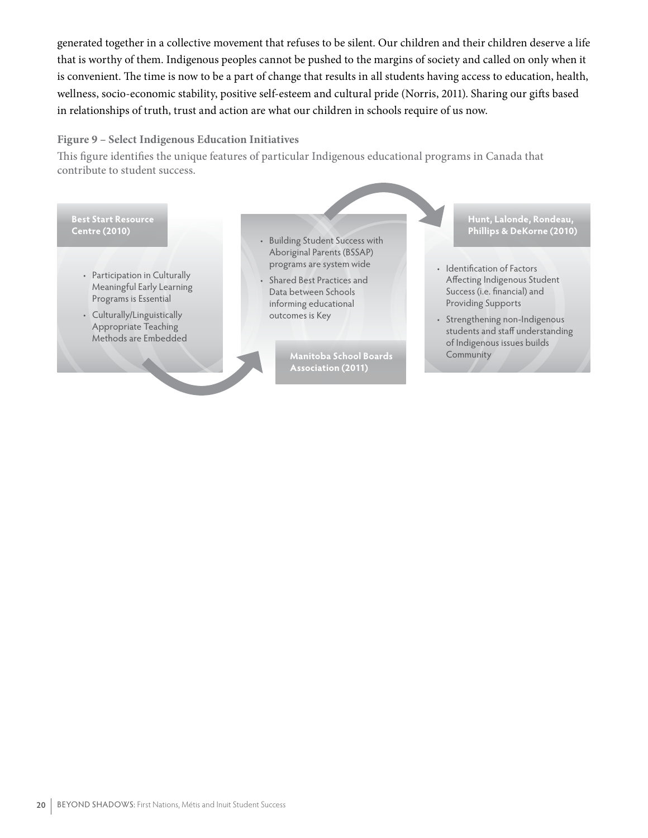generated together in a collective movement that refuses to be silent. Our children and their children deserve a life that is worthy of them. Indigenous peoples cannot be pushed to the margins of society and called on only when it is convenient. The time is now to be a part of change that results in all students having access to education, health, wellness, socio-economic stability, positive self-esteem and cultural pride (Norris, 2011). Sharing our gifts based in relationships of truth, trust and action are what our children in schools require of us now.

#### **Figure 9 – Select Indigenous Education Initiatives**

This figure identifies the unique features of particular Indigenous educational programs in Canada that contribute to student success.

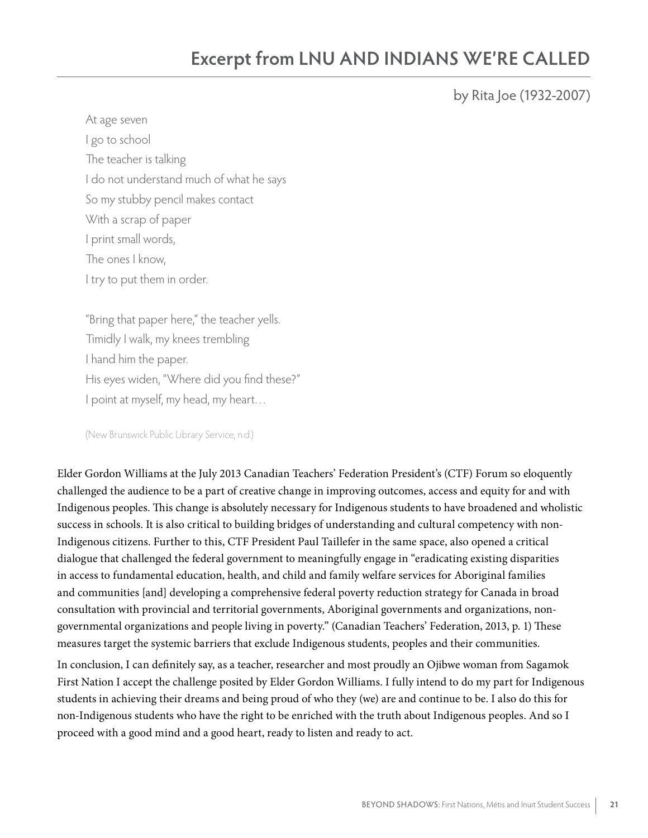#### by Rita Joe (1932-2007)

At age seven I go to school The teacher is talking I do not understand much of what he says So my stubby pencil makes contact With a scrap of paper I print small words, The ones I know, I try to put them in order.

"Bring that paper here," the teacher yells. Timidly I walk, my knees trembling I hand him the paper. His eyes widen, "Where did you find these?" I point at myself, my head, my heart…

(New Brunswick Public Library Service, n.d.)

Elder Gordon Williams at the July 2013 Canadian Teachers' Federation President's (CTF) Forum so eloquently challenged the audience to be a part of creative change in improving outcomes, access and equity for and with Indigenous peoples. This change is absolutely necessary for Indigenous students to have broadened and wholistic success in schools. It is also critical to building bridges of understanding and cultural competency with non-Indigenous citizens. Further to this, CTF President Paul Taillefer in the same space, also opened a critical dialogue that challenged the federal government to meaningfully engage in "eradicating existing disparities in access to fundamental education, health, and child and family welfare services for Aboriginal families and communities [and] developing a comprehensive federal poverty reduction strategy for Canada in broad consultation with provincial and territorial governments, Aboriginal governments and organizations, nongovernmental organizations and people living in poverty." (Canadian Teachers' Federation, 2013, p. 1) These measures target the systemic barriers that exclude Indigenous students, peoples and their communities.

In conclusion, I can definitely say, as a teacher, researcher and most proudly an Ojibwe woman from Sagamok First Nation I accept the challenge posited by Elder Gordon Williams. I fully intend to do my part for Indigenous students in achieving their dreams and being proud of who they (we) are and continue to be. I also do this for non-Indigenous students who have the right to be enriched with the truth about Indigenous peoples. And so I proceed with a good mind and a good heart, ready to listen and ready to act.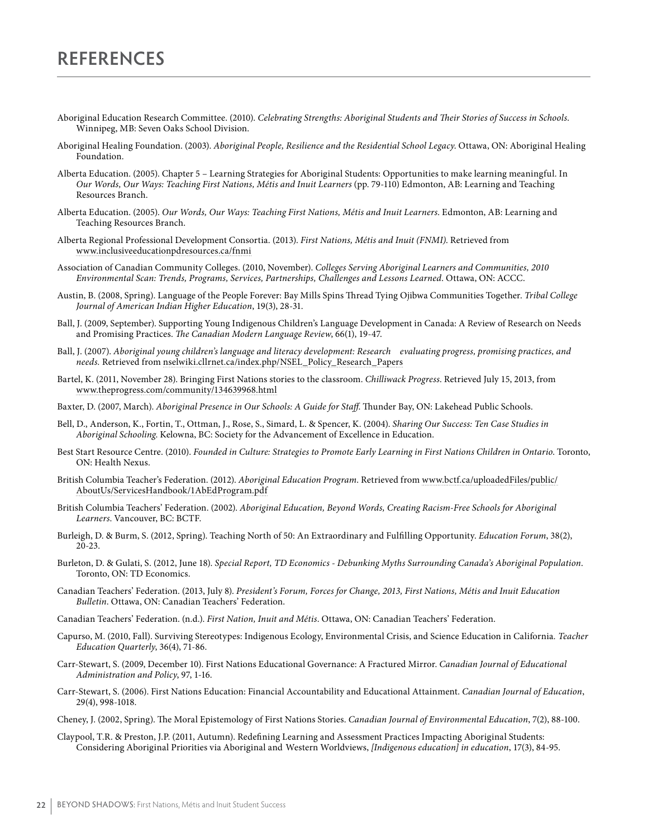- Aboriginal Education Research Committee. (2010). *Celebrating Strengths: Aboriginal Students and Their Stories of Success in Schools*. Winnipeg, MB: Seven Oaks School Division.
- Aboriginal Healing Foundation. (2003). *Aboriginal People, Resilience and the Residential School Legacy*. Ottawa, ON: Aboriginal Healing Foundation.
- Alberta Education. (2005). Chapter 5 Learning Strategies for Aboriginal Students: Opportunities to make learning meaningful. In *Our Words, Our Ways: Teaching First Nations, Métis and Inuit Learners* (pp. 79-110) Edmonton, AB: Learning and Teaching Resources Branch.
- Alberta Education. (2005). *Our Words, Our Ways: Teaching First Nations, Métis and Inuit Learners*. Edmonton, AB: Learning and Teaching Resources Branch.
- Alberta Regional Professional Development Consortia. (2013). *First Nations, Métis and Inuit (FNMI)*. Retrieved from www.inclusiveeducationpdresources.ca/fnmi
- Association of Canadian Community Colleges. (2010, November). *Colleges Serving Aboriginal Learners and Communities, 2010 Environmental Scan: Trends, Programs, Services, Partnerships, Challenges and Lessons Learned*. Ottawa, ON: ACCC.
- Austin, B. (2008, Spring). Language of the People Forever: Bay Mills Spins Thread Tying Ojibwa Communities Together. *Tribal College Journal of American Indian Higher Education*, 19(3), 28-31.
- Ball, J. (2009, September). Supporting Young Indigenous Children's Language Development in Canada: A Review of Research on Needs and Promising Practices. *The Canadian Modern Language Review*, 66(1), 19-47.
- Ball, J. (2007). *Aboriginal young children's language and literacy development: Research evaluating progress, promising practices, and needs.* Retrieved from nselwiki.cllrnet.ca/index.php/NSEL\_Policy\_Research\_Papers
- Bartel, K. (2011, November 28). Bringing First Nations stories to the classroom. *Chilliwack Progress*. Retrieved July 15, 2013, from www.theprogress.com/community/134639968.html
- Baxter, D. (2007, March). *Aboriginal Presence in Our Schools: A Guide for Staff*. Thunder Bay, ON: Lakehead Public Schools.
- Bell, D., Anderson, K., Fortin, T., Ottman, J., Rose, S., Simard, L. & Spencer, K. (2004). *Sharing Our Success: Ten Case Studies in Aboriginal Schooling*. Kelowna, BC: Society for the Advancement of Excellence in Education.
- Best Start Resource Centre. (2010). *Founded in Culture: Strategies to Promote Early Learning in First Nations Children in Ontario*. Toronto, ON: Health Nexus.
- British Columbia Teacher's Federation. (2012). *Aboriginal Education Program*. Retrieved from www.bctf.ca/uploadedFiles/public/ AboutUs/ServicesHandbook/1AbEdProgram.pdf
- British Columbia Teachers' Federation. (2002). *Aboriginal Education, Beyond Words, Creating Racism-Free Schools for Aboriginal Learners*. Vancouver, BC: BCTF.
- Burleigh, D. & Burm, S. (2012, Spring). Teaching North of 50: An Extraordinary and Fulfilling Opportunity. *Education Forum*, 38(2), 20-23.
- Burleton, D. & Gulati, S. (2012, June 18). *Special Report, TD Economics Debunking Myths Surrounding Canada's Aboriginal Population*. Toronto, ON: TD Economics.
- Canadian Teachers' Federation. (2013, July 8). *President's Forum, Forces for Change, 2013, First Nations, Métis and Inuit Education Bulletin*. Ottawa, ON: Canadian Teachers' Federation.
- Canadian Teachers' Federation. (n.d.). *First Nation, Inuit and Métis*. Ottawa, ON: Canadian Teachers' Federation.
- Capurso, M. (2010, Fall). Surviving Stereotypes: Indigenous Ecology, Environmental Crisis, and Science Education in California*. Teacher Education Quarterly*, 36(4), 71-86.
- Carr-Stewart, S. (2009, December 10). First Nations Educational Governance: A Fractured Mirror. *Canadian Journal of Educational Administration and Policy*, 97, 1-16.
- Carr-Stewart, S. (2006). First Nations Education: Financial Accountability and Educational Attainment. *Canadian Journal of Education*, 29(4), 998-1018.
- Cheney, J. (2002, Spring). The Moral Epistemology of First Nations Stories. *Canadian Journal of Environmental Education*, 7(2), 88-100.
- Claypool, T.R. & Preston, J.P. (2011, Autumn). Redefining Learning and Assessment Practices Impacting Aboriginal Students: Considering Aboriginal Priorities via Aboriginal and Western Worldviews, *[Indigenous education] in education*, 17(3), 84-95.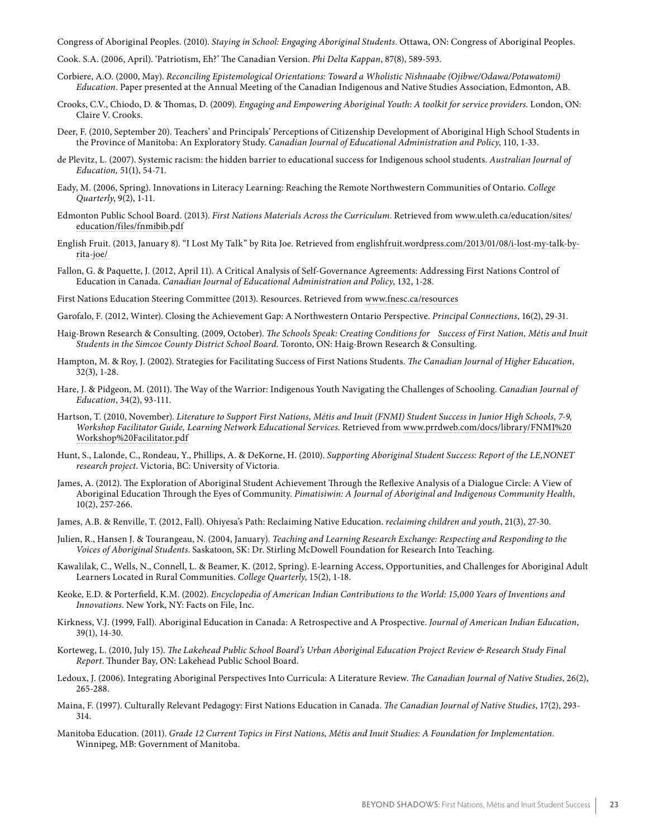Congress of Aboriginal Peoples. (2010). *Staying in School: Engaging Aboriginal Students*. Ottawa, ON: Congress of Aboriginal Peoples.

Cook. S.A. (2006, April). 'Patriotism, Eh?' The Canadian Version. *Phi Delta Kappan*, 87(8), 589-593.

- Corbiere, A.O. (2000, May). *Reconciling Epistemological Orientations: Toward a Wholistic Nishnaabe (Ojibwe/Odawa/Potawatomi) Education*. Paper presented at the Annual Meeting of the Canadian Indigenous and Native Studies Association, Edmonton, AB.
- Crooks, C.V., Chiodo, D. & Thomas, D. (2009). *Engaging and Empowering Aboriginal Youth: A toolkit for service providers*. London, ON: Claire V. Crooks.
- Deer, F. (2010, September 20). Teachers' and Principals' Perceptions of Citizenship Development of Aboriginal High School Students in the Province of Manitoba: An Exploratory Study. *Canadian Journal of Educational Administration and Policy*, 110, 1-33.
- de Plevitz, L. (2007). Systemic racism: the hidden barrier to educational success for Indigenous school students. *Australian Journal of Education,* 51(1), 54-71.
- Eady, M. (2006, Spring). Innovations in Literacy Learning: Reaching the Remote Northwestern Communities of Ontario. *College Quarterly*, 9(2), 1-11.
- Edmonton Public School Board. (2013). *First Nations Materials Across the Curriculum*. Retrieved from www.uleth.ca/education/sites/ education/files/fnmibib.pdf
- English Fruit. (2013, January 8). "I Lost My Talk" by Rita Joe. Retrieved from englishfruit.wordpress.com/2013/01/08/i-lost-my-talk-byrita-joe/
- Fallon, G. & Paquette, J. (2012, April 11). A Critical Analysis of Self-Governance Agreements: Addressing First Nations Control of Education in Canada. *Canadian Journal of Educational Administration and Policy*, 132, 1-28.
- First Nations Education Steering Committee (2013). Resources. Retrieved from www.fnesc.ca/resources
- Garofalo, F. (2012, Winter). Closing the Achievement Gap: A Northwestern Ontario Perspective. *Principal Connections*, 16(2), 29-31.
- Haig-Brown Research & Consulting. (2009, October). *The Schools Speak: Creating Conditions for Success of First Nation, Métis and Inuit Students in the Simcoe County District School Board*. Toronto, ON: Haig-Brown Research & Consulting.
- Hampton, M. & Roy, J. (2002). Strategies for Facilitating Success of First Nations Students. *The Canadian Journal of Higher Education*, 32(3), 1-28.
- Hare, J. & Pidgeon, M. (2011). The Way of the Warrior: Indigenous Youth Navigating the Challenges of Schooling. *Canadian Journal of Education*, 34(2), 93-111.
- Hartson, T. (2010, November). *Literature to Support First Nations, Métis and Inuit (FNMI) Student Success in Junior High Schools, 7-9, Workshop Facilitator Guide, Learning Network Educational Services*. Retrieved from www.prrdweb.com/docs/library/FNMI%20 Workshop%20Facilitator.pdf
- Hunt, S., Lalonde, C., Rondeau, Y., Phillips, A. & DeKorne, H. (2010). *Supporting Aboriginal Student Success: Report of the LE,NONET research project*. Victoria, BC: University of Victoria.
- James, A. (2012). The Exploration of Aboriginal Student Achievement Through the Reflexive Analysis of a Dialogue Circle: A View of Aboriginal Education Through the Eyes of Community. *Pimatisiwin: A Journal of Aboriginal and Indigenous Community Health*, 10(2), 257-266.
- James, A.B. & Renville, T. (2012, Fall). Ohiyesa's Path: Reclaiming Native Education. *reclaiming children and youth*, 21(3), 27-30.
- Julien, R., Hansen J. & Tourangeau, N. (2004, January). *Teaching and Learning Research Exchange: Respecting and Responding to the Voices of Aboriginal Students*. Saskatoon, SK: Dr. Stirling McDowell Foundation for Research Into Teaching.
- Kawalilak, C., Wells, N., Connell, L. & Beamer, K. (2012, Spring). E-learning Access, Opportunities, and Challenges for Aboriginal Adult Learners Located in Rural Communities. *College Quarterly*, 15(2), 1-18.
- Keoke, E.D. & Porterfield, K.M. (2002). *Encyclopedia of American Indian Contributions to the World: 15,000 Years of Inventions and Innovations*. New York, NY: Facts on File, Inc.
- Kirkness, V.J. (1999, Fall). Aboriginal Education in Canada: A Retrospective and A Prospective. *Journal of American Indian Education*, 39(1), 14-30.
- Korteweg, L. (2010, July 15). *The Lakehead Public School Board's Urban Aboriginal Education Project Review & Research Study Final Report*. Thunder Bay, ON: Lakehead Public School Board.
- Ledoux, J. (2006). Integrating Aboriginal Perspectives Into Curricula: A Literature Review. *The Canadian Journal of Native Studies*, 26(2), 265-288.
- Maina, F. (1997). Culturally Relevant Pedagogy: First Nations Education in Canada. *The Canadian Journal of Native Studies*, 17(2), 293- 314.
- Manitoba Education. (2011). *Grade 12 Current Topics in First Nations, Métis and Inuit Studies: A Foundation for Implementation*. Winnipeg, MB: Government of Manitoba.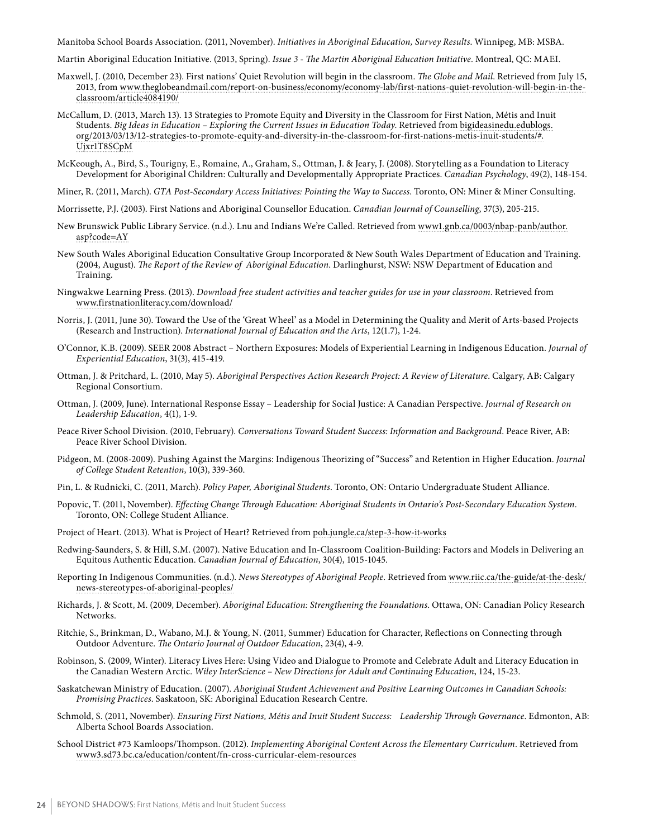Manitoba School Boards Association. (2011, November). *Initiatives in Aboriginal Education, Survey Results*. Winnipeg, MB: MSBA.

Martin Aboriginal Education Initiative. (2013, Spring). *Issue 3 - The Martin Aboriginal Education Initiative*. Montreal, QC: MAEI.

- Maxwell, J. (2010, December 23). First nations' Quiet Revolution will begin in the classroom. *The Globe and Mail*. Retrieved from July 15, 2013, from www.theglobeandmail.com/report-on-business/economy/economy-lab/first-nations-quiet-revolution-will-begin-in-theclassroom/article4084190/
- McCallum, D. (2013, March 13). 13 Strategies to Promote Equity and Diversity in the Classroom for First Nation, Métis and Inuit Students. *Big Ideas in Education – Exploring the Current Issues in Education Today*. Retrieved from bigideasinedu.edublogs. org/2013/03/13/12-strategies-to-promote-equity-and-diversity-in-the-classroom-for-first-nations-metis-inuit-students/#. Ujxr1T8SCpM
- McKeough, A., Bird, S., Tourigny, E., Romaine, A., Graham, S., Ottman, J. & Jeary, J. (2008). Storytelling as a Foundation to Literacy Development for Aboriginal Children: Culturally and Developmentally Appropriate Practices. *Canadian Psychology*, 49(2), 148-154.
- Miner, R. (2011, March). *GTA Post-Secondary Access Initiatives: Pointing the Way to Success*. Toronto, ON: Miner & Miner Consulting.
- Morrissette, P.J. (2003). First Nations and Aboriginal Counsellor Education. *Canadian Journal of Counselling*, 37(3), 205-215.
- New Brunswick Public Library Service. (n.d.). Lnu and Indians We're Called. Retrieved from www1.gnb.ca/0003/nbap-panb/author. asp?code=AY
- New South Wales Aboriginal Education Consultative Group Incorporated & New South Wales Department of Education and Training. (2004, August). *The Report of the Review of Aboriginal Education*. Darlinghurst, NSW: NSW Department of Education and Training.
- Ningwakwe Learning Press. (2013). *Download free student activities and teacher guides for use in your classroom*. Retrieved from www.firstnationliteracy.com/download/
- Norris, J. (2011, June 30). Toward the Use of the 'Great Wheel' as a Model in Determining the Quality and Merit of Arts-based Projects (Research and Instruction). *International Journal of Education and the Arts*, 12(1.7), 1-24.
- O'Connor, K.B. (2009). SEER 2008 Abstract Northern Exposures: Models of Experiential Learning in Indigenous Education. *Journal of Experiential Education*, 31(3), 415-419.
- Ottman, J. & Pritchard, L. (2010, May 5). *Aboriginal Perspectives Action Research Project: A Review of Literature*. Calgary, AB: Calgary Regional Consortium.
- Ottman, J. (2009, June). International Response Essay Leadership for Social Justice: A Canadian Perspective. *Journal of Research on Leadership Education*, 4(1), 1-9.
- Peace River School Division. (2010, February). *Conversations Toward Student Success: Information and Background*. Peace River, AB: Peace River School Division.
- Pidgeon, M. (2008-2009). Pushing Against the Margins: Indigenous Theorizing of "Success" and Retention in Higher Education. *Journal of College Student Retention*, 10(3), 339-360.
- Pin, L. & Rudnicki, C. (2011, March). *Policy Paper, Aboriginal Students*. Toronto, ON: Ontario Undergraduate Student Alliance.
- Popovic, T. (2011, November). *Effecting Change Through Education: Aboriginal Students in Ontario's Post-Secondary Education System*. Toronto, ON: College Student Alliance.
- Project of Heart. (2013). What is Project of Heart? Retrieved from poh.jungle.ca/step-3-how-it-works
- Redwing-Saunders, S. & Hill, S.M. (2007). Native Education and In-Classroom Coalition-Building: Factors and Models in Delivering an Equitous Authentic Education. *Canadian Journal of Education*, 30(4), 1015-1045.
- Reporting In Indigenous Communities. (n.d.). *News Stereotypes of Aboriginal People*. Retrieved from www.riic.ca/the-guide/at-the-desk/ news-stereotypes-of-aboriginal-peoples/
- Richards, J. & Scott, M. (2009, December). *Aboriginal Education: Strengthening the Foundations*. Ottawa, ON: Canadian Policy Research Networks.
- Ritchie, S., Brinkman, D., Wabano, M.J. & Young, N. (2011, Summer) Education for Character, Reflections on Connecting through Outdoor Adventure. *The Ontario Journal of Outdoor Education*, 23(4), 4-9.
- Robinson, S. (2009, Winter). Literacy Lives Here: Using Video and Dialogue to Promote and Celebrate Adult and Literacy Education in the Canadian Western Arctic. *Wiley InterScience – New Directions for Adult and Continuing Education*, 124, 15-23.
- Saskatchewan Ministry of Education. (2007). *Aboriginal Student Achievement and Positive Learning Outcomes in Canadian Schools: Promising Practices*. Saskatoon, SK: Aboriginal Education Research Centre.
- Schmold, S. (2011, November). *Ensuring First Nations, Métis and Inuit Student Success: Leadership Through Governance*. Edmonton, AB: Alberta School Boards Association.
- School District #73 Kamloops/Thompson. (2012). *Implementing Aboriginal Content Across the Elementary Curriculum*. Retrieved from www3.sd73.bc.ca/education/content/fn-cross-curricular-elem-resources